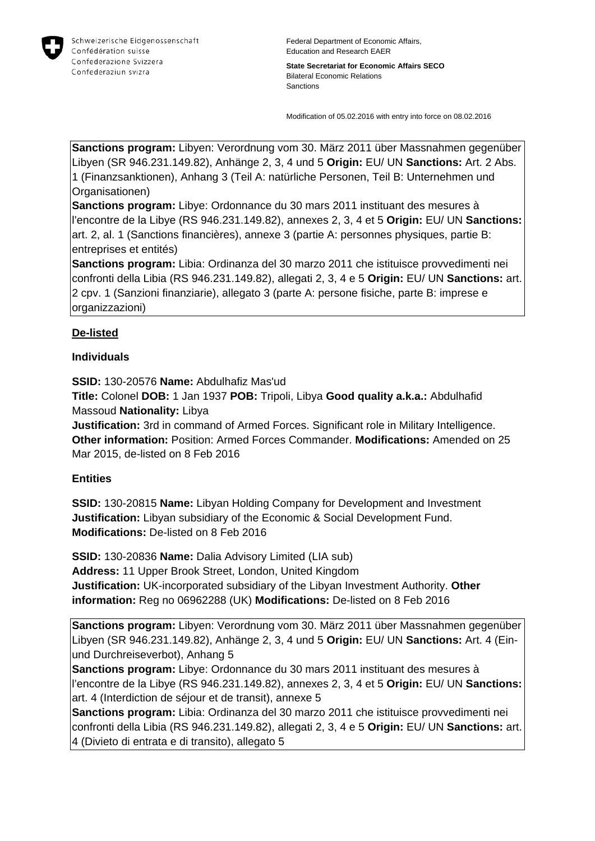

**State Secretariat for Economic Affairs SECO** Bilateral Economic Relations Sanctions

Modification of 05.02.2016 with entry into force on 08.02.2016

**Sanctions program:** Libyen: Verordnung vom 30. März 2011 über Massnahmen gegenüber Libyen (SR 946.231.149.82), Anhänge 2, 3, 4 und 5 **Origin:** EU/ UN **Sanctions:** Art. 2 Abs. 1 (Finanzsanktionen), Anhang 3 (Teil A: natürliche Personen, Teil B: Unternehmen und Organisationen)

**Sanctions program:** Libye: Ordonnance du 30 mars 2011 instituant des mesures à l'encontre de la Libye (RS 946.231.149.82), annexes 2, 3, 4 et 5 **Origin:** EU/ UN **Sanctions:** art. 2, al. 1 (Sanctions financières), annexe 3 (partie A: personnes physiques, partie B: entreprises et entités)

**Sanctions program:** Libia: Ordinanza del 30 marzo 2011 che istituisce provvedimenti nei confronti della Libia (RS 946.231.149.82), allegati 2, 3, 4 e 5 **Origin:** EU/ UN **Sanctions:** art. 2 cpv. 1 (Sanzioni finanziarie), allegato 3 (parte A: persone fisiche, parte B: imprese e organizzazioni)

# **De-listed**

### **Individuals**

**SSID:** 130-20576 **Name:** Abdulhafiz Mas'ud

**Title:** Colonel **DOB:** 1 Jan 1937 **POB:** Tripoli, Libya **Good quality a.k.a.:** Abdulhafid Massoud **Nationality:** Libya

**Justification:** 3rd in command of Armed Forces. Significant role in Military Intelligence. **Other information:** Position: Armed Forces Commander. **Modifications:** Amended on 25 Mar 2015, de-listed on 8 Feb 2016

#### **Entities**

**SSID:** 130-20815 **Name:** Libyan Holding Company for Development and Investment **Justification:** Libyan subsidiary of the Economic & Social Development Fund. **Modifications:** De-listed on 8 Feb 2016

**SSID:** 130-20836 **Name:** Dalia Advisory Limited (LIA sub) **Address:** 11 Upper Brook Street, London, United Kingdom **Justification:** UK-incorporated subsidiary of the Libyan Investment Authority. **Other information:** Reg no 06962288 (UK) **Modifications:** De-listed on 8 Feb 2016

**Sanctions program:** Libyen: Verordnung vom 30. März 2011 über Massnahmen gegenüber Libyen (SR 946.231.149.82), Anhänge 2, 3, 4 und 5 **Origin:** EU/ UN **Sanctions:** Art. 4 (Einund Durchreiseverbot), Anhang 5

**Sanctions program:** Libye: Ordonnance du 30 mars 2011 instituant des mesures à l'encontre de la Libye (RS 946.231.149.82), annexes 2, 3, 4 et 5 **Origin:** EU/ UN **Sanctions:** art. 4 (Interdiction de séjour et de transit), annexe 5

**Sanctions program:** Libia: Ordinanza del 30 marzo 2011 che istituisce provvedimenti nei confronti della Libia (RS 946.231.149.82), allegati 2, 3, 4 e 5 **Origin:** EU/ UN **Sanctions:** art. 4 (Divieto di entrata e di transito), allegato 5